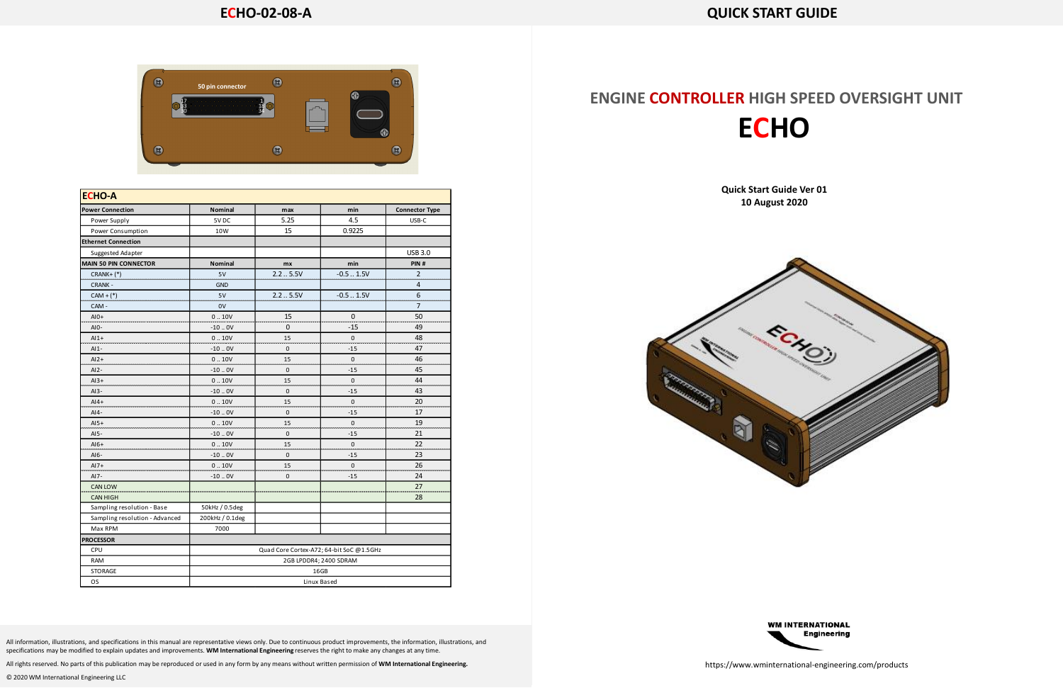## **ENGINE CONTROLLER HIGH SPEED OVERSIGHT UNIT ECHO**

### **Quick Start Guide Ver 01 10 August 2020**





All information, illustrations, and specifications in this manual are representative views only. Due to continuous product improvements, the information, illustrations, and specifications may be modified to explain updates and improvements. **WM International Engineering** reserves the right to make any changes at any time.

All rights reserved. No parts of this publication may be reproduced or used in any form by any means without written permission of **WM International Engineering.**

© 2020 WM International Engineering LLC

https://www.wminternational-engineering.com/products

| <b>Power Connection</b>        | <b>Nominal</b>                           | max         | min         | <b>Connector Type</b> |
|--------------------------------|------------------------------------------|-------------|-------------|-----------------------|
| Power Supply                   | 5VDC                                     | 5.25        | 4.5         | USB-C                 |
| Power Consumption              | 10W                                      | 15          | 0.9225      |                       |
| <b>Ethernet Connection</b>     |                                          |             |             |                       |
| Suggested Adapter              |                                          |             |             | <b>USB 3.0</b>        |
| MAIN 50 PIN CONNECTOR          | <b>Nominal</b>                           | mx          | min         | PIN#                  |
| $CRANK+$ (*)                   | 5V                                       | 2.25.5V     | $-0.51.5V$  | 2                     |
| <b>CRANK -</b>                 | <b>GND</b>                               |             |             | 4                     |
| $CAM + (*)$                    | 5V                                       | 2.25.5V     | $-0.51.5V$  | 6                     |
| CAM -                          | 0V                                       |             |             | 7                     |
| $AI0+$                         | 0.10V                                    | 15          | 0           | 50                    |
| $AIO-$                         | $-10.0V$                                 | $\mathbf 0$ | $-15$       | 49                    |
| $Al1+$                         | 0.10V                                    | 15          | 0           | 48                    |
| $AI-$                          | $-10.0V$                                 | 0           | $-15$       | 47                    |
| $AI2+$                         | 0.10V                                    | 15          | $\mathbf 0$ | 46                    |
| $AI2-$                         | $-10.0V$                                 | 0           | $-15$       | 45                    |
| $Al3+$                         | 0.10V                                    | 15          | 0           | 44                    |
| $AI3-$                         | $-10.0V$                                 | 0           | $-15$       | 43                    |
| $Al4+$                         | 0.10V                                    | 15          | 0           | 20                    |
| $AI4-$                         | $-10.0V$                                 | 0           | $-15$       | 17                    |
| $AI5+$                         | 0.10V                                    | 15          | 0           | 19                    |
| AI5-                           | $-10.0V$                                 | $\mathbf 0$ | $-15$       | 21                    |
| $Al6+$                         | 0.10V                                    | 15          | 0           | 22                    |
| $AI6-$                         | $-10.0V$                                 | $\pmb{0}$   | $-15$       | 23                    |
| $AI7+$                         | 0.10V                                    | 15          | 0           | 26                    |
| AI7-                           | $-10.0V$                                 | $\mathbf 0$ | $-15$       | 24                    |
| <b>CAN LOW</b>                 |                                          |             |             | 27                    |
| <b>CAN HIGH</b>                |                                          |             |             | 28                    |
| Sampling resolution - Base     | 50kHz / 0.5deg                           |             |             |                       |
| Sampling resolution - Advanced | 200kHz / 0.1deg                          |             |             |                       |
| Max RPM                        | 7000                                     |             |             |                       |
| <b>PROCESSOR</b>               |                                          |             |             |                       |
| CPU                            | Quad Core Cortex-A72; 64-bit SoC @1.5GHz |             |             |                       |
| <b>RAM</b>                     | 2GB LPDDR4; 2400 SDRAM                   |             |             |                       |
| STORAGE                        | 16GB                                     |             |             |                       |
| <b>OS</b>                      | Linux Based                              |             |             |                       |